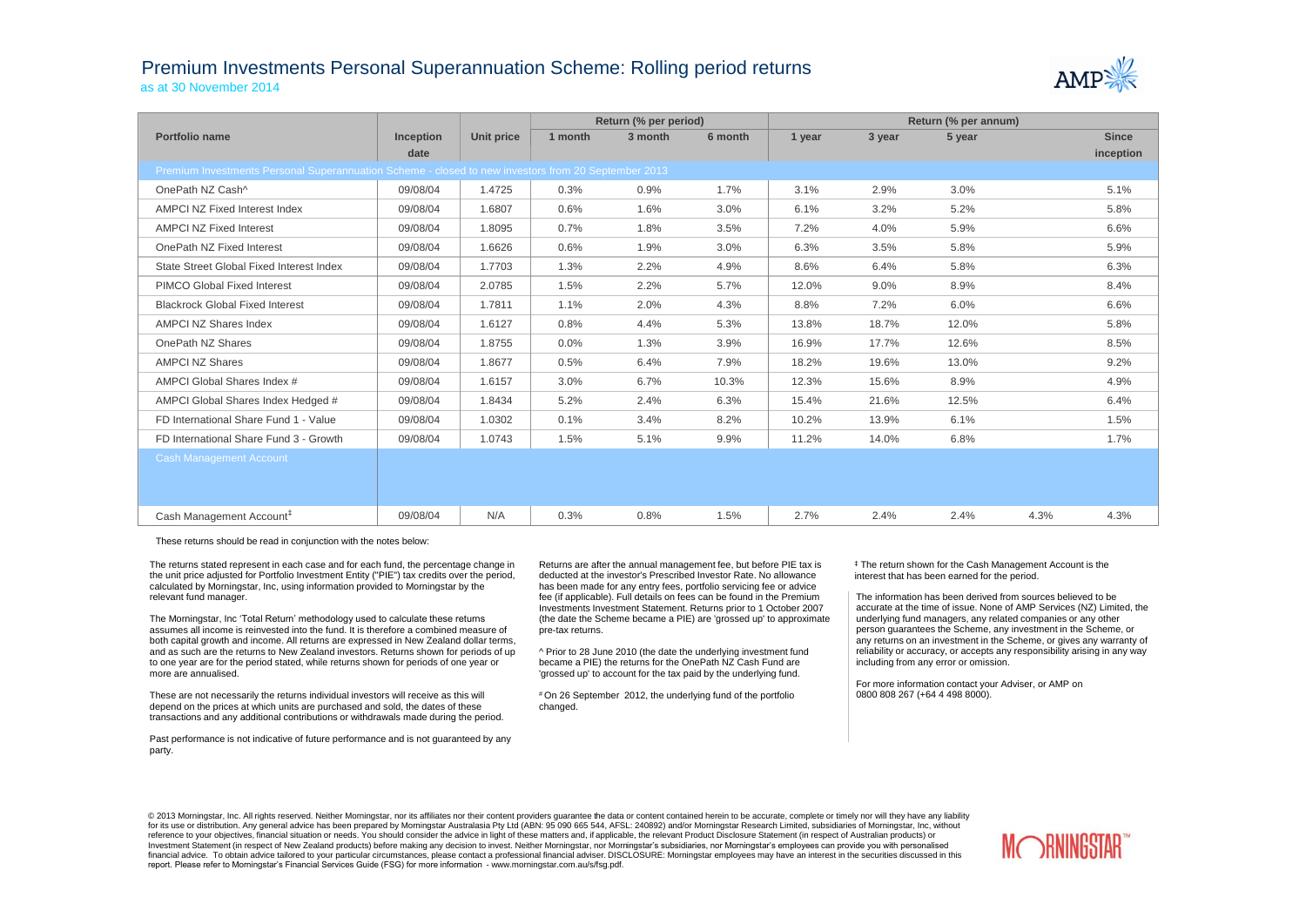## Premium Investments Personal Superannuation Scheme: Rolling period returns as at 30 November 2014



|                                                                                                     |                  |                   | Return (% per period) |         |         | Return (% per annum) |        |        |      |              |  |
|-----------------------------------------------------------------------------------------------------|------------------|-------------------|-----------------------|---------|---------|----------------------|--------|--------|------|--------------|--|
| <b>Portfolio name</b>                                                                               | <b>Inception</b> | <b>Unit price</b> | 1 month               | 3 month | 6 month | 1 year               | 3 year | 5 year |      | <b>Since</b> |  |
|                                                                                                     | date             |                   |                       |         |         |                      |        |        |      | inception    |  |
| Premium Investments Personal Superannuation Scheme - closed to new investors from 20 September 2013 |                  |                   |                       |         |         |                      |        |        |      |              |  |
| OnePath NZ Cash^                                                                                    | 09/08/04         | 1.4725            | 0.3%                  | 0.9%    | 1.7%    | 3.1%                 | 2.9%   | 3.0%   |      | 5.1%         |  |
| AMPCI NZ Fixed Interest Index                                                                       | 09/08/04         | 1.6807            | 0.6%                  | 1.6%    | 3.0%    | 6.1%                 | 3.2%   | 5.2%   |      | 5.8%         |  |
| <b>AMPCI NZ Fixed Interest</b>                                                                      | 09/08/04         | 1.8095            | 0.7%                  | 1.8%    | 3.5%    | 7.2%                 | 4.0%   | 5.9%   |      | 6.6%         |  |
| OnePath NZ Fixed Interest                                                                           | 09/08/04         | 1.6626            | 0.6%                  | 1.9%    | 3.0%    | 6.3%                 | 3.5%   | 5.8%   |      | 5.9%         |  |
| State Street Global Fixed Interest Index                                                            | 09/08/04         | 1.7703            | 1.3%                  | 2.2%    | 4.9%    | 8.6%                 | 6.4%   | 5.8%   |      | 6.3%         |  |
| <b>PIMCO Global Fixed Interest</b>                                                                  | 09/08/04         | 2.0785            | 1.5%                  | 2.2%    | 5.7%    | 12.0%                | 9.0%   | 8.9%   |      | 8.4%         |  |
| <b>Blackrock Global Fixed Interest</b>                                                              | 09/08/04         | 1.7811            | 1.1%                  | 2.0%    | 4.3%    | 8.8%                 | 7.2%   | 6.0%   |      | 6.6%         |  |
| <b>AMPCI NZ Shares Index</b>                                                                        | 09/08/04         | 1.6127            | 0.8%                  | 4.4%    | 5.3%    | 13.8%                | 18.7%  | 12.0%  |      | 5.8%         |  |
| OnePath NZ Shares                                                                                   | 09/08/04         | 1.8755            | 0.0%                  | 1.3%    | 3.9%    | 16.9%                | 17.7%  | 12.6%  |      | 8.5%         |  |
| <b>AMPCI NZ Shares</b>                                                                              | 09/08/04         | 1.8677            | 0.5%                  | 6.4%    | 7.9%    | 18.2%                | 19.6%  | 13.0%  |      | 9.2%         |  |
| AMPCI Global Shares Index #                                                                         | 09/08/04         | 1.6157            | 3.0%                  | 6.7%    | 10.3%   | 12.3%                | 15.6%  | 8.9%   |      | 4.9%         |  |
| AMPCI Global Shares Index Hedged #                                                                  | 09/08/04         | 1.8434            | 5.2%                  | 2.4%    | 6.3%    | 15.4%                | 21.6%  | 12.5%  |      | 6.4%         |  |
| FD International Share Fund 1 - Value                                                               | 09/08/04         | 1.0302            | 0.1%                  | 3.4%    | 8.2%    | 10.2%                | 13.9%  | 6.1%   |      | 1.5%         |  |
| FD International Share Fund 3 - Growth                                                              | 09/08/04         | 1.0743            | 1.5%                  | 5.1%    | 9.9%    | 11.2%                | 14.0%  | 6.8%   |      | 1.7%         |  |
| <b>Cash Management Account</b>                                                                      |                  |                   |                       |         |         |                      |        |        |      |              |  |
| Cash Management Account <sup>#</sup>                                                                | 09/08/04         | N/A               | 0.3%                  | 0.8%    | 1.5%    | 2.7%                 | 2.4%   | 2.4%   | 4.3% | 4.3%         |  |

These returns should be read in conjunction with the notes below:

The returns stated represent in each case and for each fund, the percentage change in the unit price adjusted for Portfolio Investment Entity ("PIE") tax credits over the period, calculated by Morningstar, Inc, using information provided to Morningstar by the relevant fund manager.

The Morningstar, Inc 'Total Return' methodology used to calculate these returns assumes all income is reinvested into the fund. It is therefore a combined measure of both capital growth and income. All returns are expressed in New Zealand dollar terms, and as such are the returns to New Zealand investors. Returns shown for periods of up to one year are for the period stated, while returns shown for periods of one year or more are annualised.

These are not necessarily the returns individual investors will receive as this will depend on the prices at which units are purchased and sold, the dates of these transactions and any additional contributions or withdrawals made during the period.

Past performance is not indicative of future performance and is not guaranteed by any party.

Returns are after the annual management fee, but before PIE tax is deducted at the investor's Prescribed Investor Rate. No allowance has been made for any entry fees, portfolio servicing fee or advice fee (if applicable). Full details on fees can be found in the Premium Investments Investment Statement. Returns prior to 1 October 2007 (the date the Scheme became a PIE) are 'grossed up' to approximate pre-tax returns.

^ Prior to 28 June 2010 (the date the underlying investment fund became a PIE) the returns for the OnePath NZ Cash Fund are 'grossed up' to account for the tax paid by the underlying fund.

# On 26 September 2012, the underlying fund of the portfolio changed.

‡ The return shown for the Cash Management Account is the interest that has been earned for the period.

The information has been derived from sources believed to be accurate at the time of issue. None of AMP Services (NZ) Limited, the underlying fund managers, any related companies or any other person guarantees the Scheme, any investment in the Scheme, or any returns on an investment in the Scheme, or gives any warranty of reliability or accuracy, or accepts any responsibility arising in any way including from any error or omission.

For more information contact your Adviser, or AMP on 0800 808 267 (+64 4 498 8000).

© 2013 Morningstar, Inc. All rights reserved. Neither Morningstar, nor its affiliates nor their content providers quarantee the data or content contained herein to be accurate, complete or timely nor will they have any lia for its use or distribution. Any general advice has been prepared by Morningstar Australasia Pty Ltd (ABN: 95 090 665 544, AFSL: 240892) and/or Morningstar Research Limited, subsidiaries of Morningstar, Inc, without reference to your objectives, financial situation or needs. You should consider the advice in light of these matters and, if applicable, the relevant Product Disclosure Statement (in respect of Australian products) or Investment Statement (in respect of New Zealand products) before making any decision to invest. Neither Morningstar, nor Morningstar's subsidiaries, nor Morningstar's employees can provide you with personalised financial advice. To obtain advice tailored to your particular circumstances, please contact a professional financial adviser. DISCLOSURE: Morningstar employees may have an interest in the securities discussed in this report. Please refer to Morningstar's Financial Services Guide (FSG) for more information - www.morningstar.com.au/s/fsg.pdf.